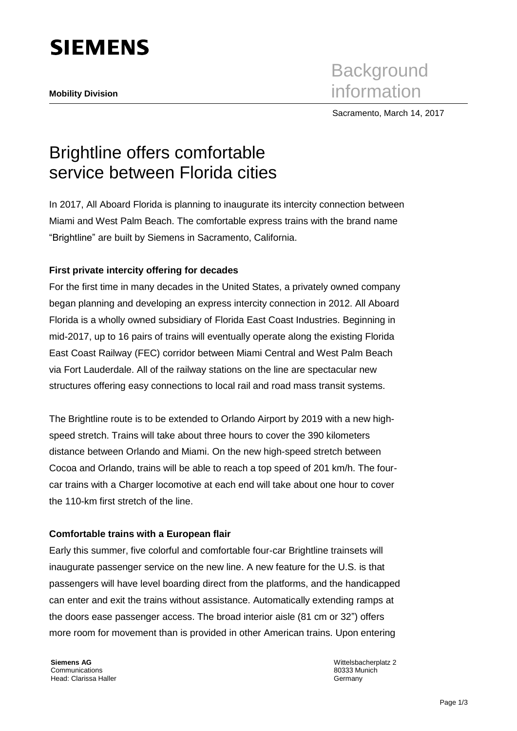

Sacramento, March 14, 2017

# Brightline offers comfortable service between Florida cities

In 2017, All Aboard Florida is planning to inaugurate its intercity connection between Miami and West Palm Beach. The comfortable express trains with the brand name "Brightline" are built by Siemens in Sacramento, California.

## **First private intercity offering for decades**

For the first time in many decades in the United States, a privately owned company began planning and developing an express intercity connection in 2012. All Aboard Florida is a wholly owned subsidiary of Florida East Coast Industries. Beginning in mid-2017, up to 16 pairs of trains will eventually operate along the existing Florida East Coast Railway (FEC) corridor between Miami Central and West Palm Beach via Fort Lauderdale. All of the railway stations on the line are spectacular new structures offering easy connections to local rail and road mass transit systems.

The Brightline route is to be extended to Orlando Airport by 2019 with a new highspeed stretch. Trains will take about three hours to cover the 390 kilometers distance between Orlando and Miami. On the new high-speed stretch between Cocoa and Orlando, trains will be able to reach a top speed of 201 km/h. The fourcar trains with a Charger locomotive at each end will take about one hour to cover the 110-km first stretch of the line.

### **Comfortable trains with a European flair**

Early this summer, five colorful and comfortable four-car Brightline trainsets will inaugurate passenger service on the new line. A new feature for the U.S. is that passengers will have level boarding direct from the platforms, and the handicapped can enter and exit the trains without assistance. Automatically extending ramps at the doors ease passenger access. The broad interior aisle (81 cm or 32") offers more room for movement than is provided in other American trains. Upon entering

**Siemens AG Communications** Head: Clarissa Haller Wittelsbacherplatz 2 80333 Munich **Germany**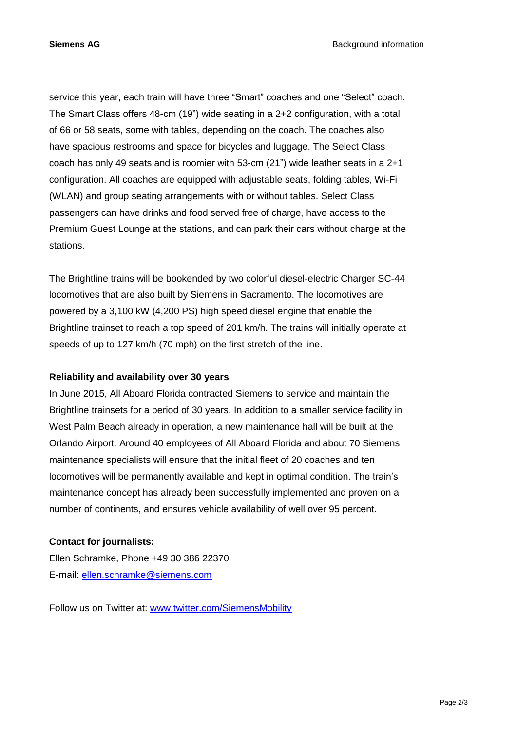service this year, each train will have three "Smart" coaches and one "Select" coach. The Smart Class offers 48-cm (19") wide seating in a 2+2 configuration, with a total of 66 or 58 seats, some with tables, depending on the coach. The coaches also have spacious restrooms and space for bicycles and luggage. The Select Class coach has only 49 seats and is roomier with 53-cm (21") wide leather seats in a 2+1 configuration. All coaches are equipped with adjustable seats, folding tables, Wi-Fi (WLAN) and group seating arrangements with or without tables. Select Class passengers can have drinks and food served free of charge, have access to the Premium Guest Lounge at the stations, and can park their cars without charge at the stations.

The Brightline trains will be bookended by two colorful diesel-electric Charger SC-44 locomotives that are also built by Siemens in Sacramento. The locomotives are powered by a 3,100 kW (4,200 PS) high speed diesel engine that enable the Brightline trainset to reach a top speed of 201 km/h. The trains will initially operate at speeds of up to 127 km/h (70 mph) on the first stretch of the line.

### **Reliability and availability over 30 years**

In June 2015, All Aboard Florida contracted Siemens to service and maintain the Brightline trainsets for a period of 30 years. In addition to a smaller service facility in West Palm Beach already in operation, a new maintenance hall will be built at the Orlando Airport. Around 40 employees of All Aboard Florida and about 70 Siemens maintenance specialists will ensure that the initial fleet of 20 coaches and ten locomotives will be permanently available and kept in optimal condition. The train's maintenance concept has already been successfully implemented and proven on a number of continents, and ensures vehicle availability of well over 95 percent.

### **Contact for journalists:**

Ellen Schramke, Phone +49 30 386 22370 E-mail: [ellen.schramke@siemens.com](mailto:ellen.schramke@siemens.com)

Follow us on Twitter at: [www.twitter.com/SiemensMobility](http://www.twitter.com/SiemensMobility)